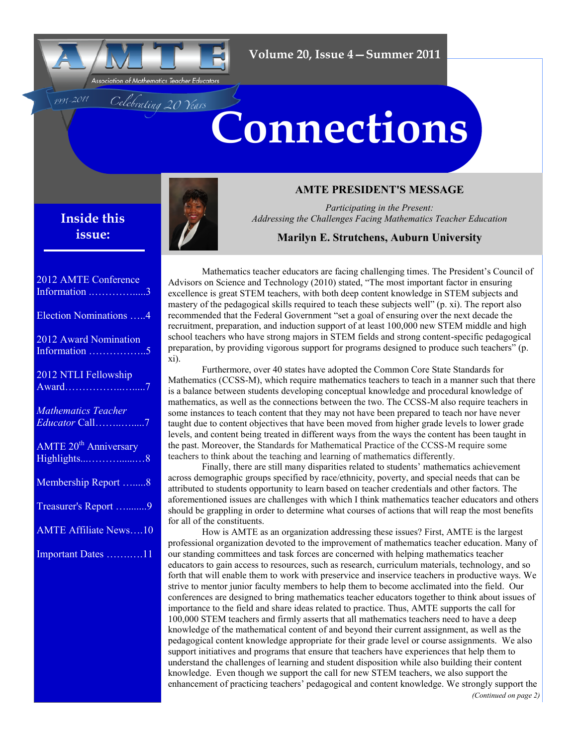

Celebrating 20 Years

# **Connections**

**Inside this issue:**

1991-2011



## **AMTE PRESIDENT'S MESSAGE**

*Participating in the Present: Addressing the Challenges Facing Mathematics Teacher Education*

## **Marilyn E. Strutchens, Auburn University**

2012 AMTE Conference Information .………….....[3](#page-2-0) Election Nominations …..[4](#page-3-0) 2012 Award Nomination Information ……………..[5](#page-4-0) 2012 NTLI Fellowship Award……………..….....[7](#page-6-0) *Mathematics Teacher Educator* Call……..….....[7](#page-6-0) AMTE 20<sup>th</sup> Anniversary Highlights...………......…[8](#page-7-0) Membership Report ….....[8](#page-7-0) Treasurer's Report …........[9](#page-8-0) AMTE Affiliate News….[10](#page-9-0) Important Dates …….….[11](#page-10-0)

Mathematics teacher educators are facing challenging times. The President's Council of Advisors on Science and Technology (2010) stated, "The most important factor in ensuring excellence is great STEM teachers, with both deep content knowledge in STEM subjects and mastery of the pedagogical skills required to teach these subjects well" (p. xi). The report also recommended that the Federal Government "set a goal of ensuring over the next decade the recruitment, preparation, and induction support of at least 100,000 new STEM middle and high school teachers who have strong majors in STEM fields and strong content-specific pedagogical preparation, by providing vigorous support for programs designed to produce such teachers" (p. xi).

Furthermore, over 40 states have adopted the Common Core State Standards for Mathematics (CCSS-M), which require mathematics teachers to teach in a manner such that there is a balance between students developing conceptual knowledge and procedural knowledge of mathematics, as well as the connections between the two. The CCSS-M also require teachers in some instances to teach content that they may not have been prepared to teach nor have never taught due to content objectives that have been moved from higher grade levels to lower grade levels, and content being treated in different ways from the ways the content has been taught in the past. Moreover, the Standards for Mathematical Practice of the CCSS-M require some teachers to think about the teaching and learning of mathematics differently.

Finally, there are still many disparities related to students' mathematics achievement across demographic groups specified by race/ethnicity, poverty, and special needs that can be attributed to students opportunity to learn based on teacher credentials and other factors. The aforementioned issues are challenges with which I think mathematics teacher educators and others should be grappling in order to determine what courses of actions that will reap the most benefits for all of the constituents.

How is AMTE as an organization addressing these issues? First, AMTE is the largest professional organization devoted to the improvement of mathematics teacher education. Many of our standing committees and task forces are concerned with helping mathematics teacher educators to gain access to resources, such as research, curriculum materials, technology, and so forth that will enable them to work with preservice and inservice teachers in productive ways. We strive to mentor junior faculty members to help them to become acclimated into the field. Our conferences are designed to bring mathematics teacher educators together to think about issues of importance to the field and share ideas related to practice. Thus, AMTE supports the call for 100,000 STEM teachers and firmly asserts that all mathematics teachers need to have a deep knowledge of the mathematical content of and beyond their current assignment, as well as the pedagogical content knowledge appropriate for their grade level or course assignments. We also support initiatives and programs that ensure that teachers have experiences that help them to understand the challenges of learning and student disposition while also building their content knowledge. Even though we support the call for new STEM teachers, we also support the enhancement of practicing teachers' pedagogical and content knowledge. We strongly support the *(Continued on page 2)*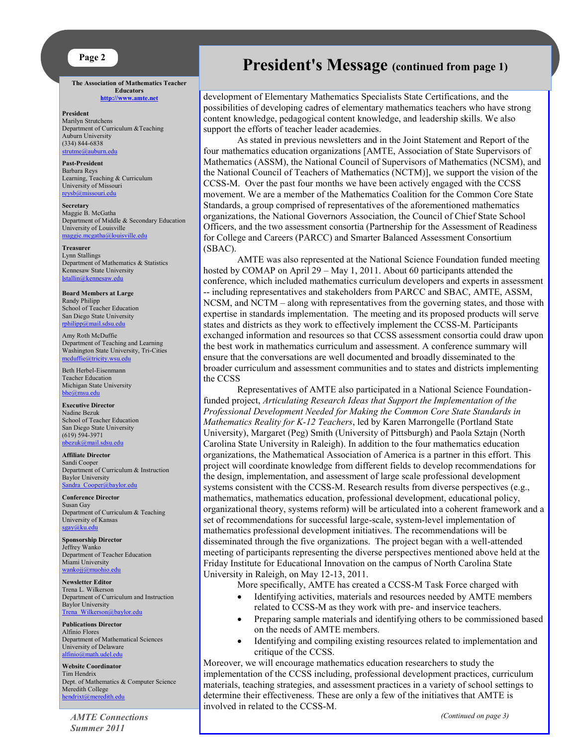#### **Page 2**

**The Association of Mathematics Teacher Educators <http://www.amte.net>**

**President** Marilyn Strutchens Department of Curriculum &Teaching Auburn University (334) 844-6838 [strutme@auburn.edu](mailto:strutme@auburn.edu) 

**Past-President** Barbara Reys Learning, Teaching & Curriculum University of Missouri [reysb@missouri.edu](mailto:reysb@missouri.edu)

**Secretary** Maggie B. McGatha Department of Middle & Secondary Education University of Louisville [maggie.mcgatha@louisville.edu](mailto:maggie.mcgatha@louisville.edu) 

**Treasurer** Lynn Stallings Department of Mathematics & Statistics Kennesaw State University stallin@kennesaw.edu

**Board Members at Large** Randy Philipp School of Teacher Education San Diego State University [rphilipp@mail.sdsu.edu](mailto:rphilipp@mail.sdsu.edu)

Amy Roth McDuffie Department of Teaching and Learning Washington State University, Tri-Cities [mcduffie@tricity.wsu.edu](mailto:mcduffie@tricity.wsu.edu)

Beth Herbel-Eisenmann Teacher Education Michigan State University isu.edu

**Executive Director** Nadine Bezuk School of Teacher Education San Diego State University (619) 594-3971 [nbezuk@mail.sdsu.edu](mailto:nbezuk@mail.sdsu.edu)

**Affiliate Director** Sandi Cooper Department of Curriculum & Instruction Baylor University [Sandra\\_Cooper@baylor.edu](mailto:Sandra_Cooper@baylor.edu)

**Conference Director** Susan Gay Department of Curriculum & Teaching University of Kansas [sgay@ku.edu](mailto:sgay@ku.edu)

**Sponsorship Director** Jeffrey Wanko Department of Teacher Education Miami University [wankojj@muohio.edu](mailto:wankojj@muohio.edu)

**Newsletter Editor** Trena L. Wilkerson Department of Curriculum and Instruction Baylor University [Trena\\_Wilkerson@baylor.edu](mailto:Trena_Wilkerson@baylor.edu)

**Publications Director** Alfinio Flores Department of Mathematical Sciences University of Delaware<br>alfinio@math.udel edu ath.udel.edu

**Website Coordinator** Tim Hendrix Dept. of Mathematics & Computer Science Meredith College [hendrixt@meredith.edu](mailto:hendrixt@meredith.edu)

*AMTE Connections Summer 2011*

# **President's Message (continued from page 1)**

development of Elementary Mathematics Specialists State Certifications, and the possibilities of developing cadres of elementary mathematics teachers who have strong content knowledge, pedagogical content knowledge, and leadership skills. We also support the efforts of teacher leader academies.

As stated in previous newsletters and in the Joint Statement and Report of the four mathematics education organizations [AMTE, Association of State Supervisors of Mathematics (ASSM), the National Council of Supervisors of Mathematics (NCSM), and the National Council of Teachers of Mathematics (NCTM)], we support the vision of the CCSS-M. Over the past four months we have been actively engaged with the CCSS movement. We are a member of the Mathematics Coalition for the Common Core State Standards, a group comprised of representatives of the aforementioned mathematics organizations, the National Governors Association, the Council of Chief State School Officers, and the two assessment consortia (Partnership for the Assessment of Readiness for College and Careers (PARCC) and Smarter Balanced Assessment Consortium (SBAC).

AMTE was also represented at the National Science Foundation funded meeting hosted by COMAP on April 29 – May 1, 2011. About 60 participants attended the conference, which included mathematics curriculum developers and experts in assessment -- including representatives and stakeholders from PARCC and SBAC, AMTE, ASSM, NCSM, and NCTM – along with representatives from the governing states, and those with expertise in standards implementation. The meeting and its proposed products will serve states and districts as they work to effectively implement the CCSS-M. Participants exchanged information and resources so that CCSS assessment consortia could draw upon the best work in mathematics curriculum and assessment. A conference summary will ensure that the conversations are well documented and broadly disseminated to the broader curriculum and assessment communities and to states and districts implementing the CCSS

Representatives of AMTE also participated in a National Science Foundationfunded project, *Articulating Research Ideas that Support the Implementation of the Professional Development Needed for Making the Common Core State Standards in Mathematics Reality for K-12 Teachers*, led by Karen Marrongelle (Portland State University), Margaret (Peg) Smith (University of Pittsburgh) and Paola Sztajn (North Carolina State University in Raleigh). In addition to the four mathematics education organizations, the Mathematical Association of America is a partner in this effort. This project will coordinate knowledge from different fields to develop recommendations for the design, implementation, and assessment of large scale professional development systems consistent with the CCSS-M. Research results from diverse perspectives (e.g., mathematics, mathematics education, professional development, educational policy, organizational theory, systems reform) will be articulated into a coherent framework and a set of recommendations for successful large-scale, system-level implementation of mathematics professional development initiatives. The recommendations will be disseminated through the five organizations. The project began with a well-attended meeting of participants representing the diverse perspectives mentioned above held at the Friday Institute for Educational Innovation on the campus of North Carolina State University in Raleigh, on May 12-13, 2011.

More specifically, AMTE has created a CCSS-M Task Force charged with

- Identifying activities, materials and resources needed by AMTE members related to CCSS-M as they work with pre- and inservice teachers.
- Preparing sample materials and identifying others to be commissioned based on the needs of AMTE members.
- Identifying and compiling existing resources related to implementation and critique of the CCSS.

Moreover, we will encourage mathematics education researchers to study the implementation of the CCSS including, professional development practices, curriculum materials, teaching strategies, and assessment practices in a variety of school settings to determine their effectiveness. These are only a few of the initiatives that AMTE is involved in related to the CCSS-M.

*(Continued on page 3)*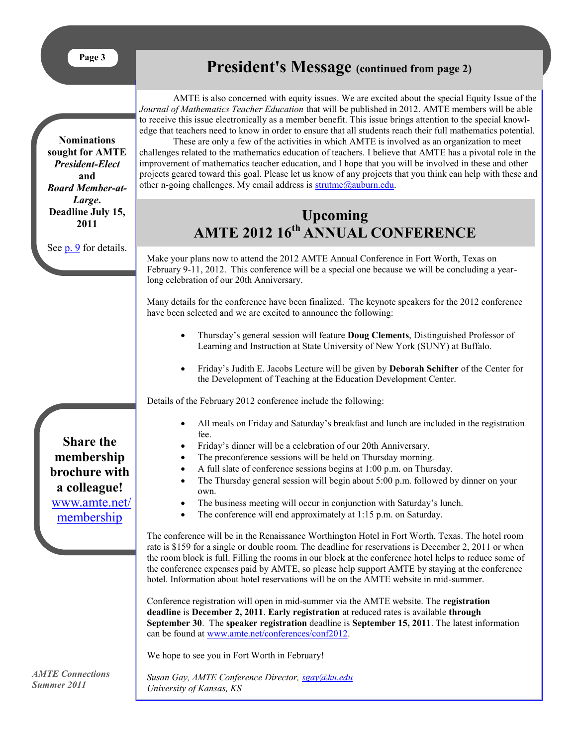<span id="page-2-0"></span>**Nominations sought for AMTE**  *President-Elect*  **and**  *Board Member-at-Large***. Deadline July 15,** 

# **President's Message (continued from page 2)**

AMTE is also concerned with equity issues. We are excited about the special Equity Issue of the *Journal of Mathematics Teacher Education* that will be published in 2012. AMTE members will be able to receive this issue electronically as a member benefit. This issue brings attention to the special knowledge that teachers need to know in order to ensure that all students reach their full mathematics potential.

These are only a few of the activities in which AMTE is involved as an organization to meet challenges related to the mathematics education of teachers. I believe that AMTE has a pivotal role in the improvement of mathematics teacher education, and I hope that you will be involved in these and other projects geared toward this goal. Please let us know of any projects that you think can help with these and other n-going challenges. My email address is  $strutme@auburn.edu$ .

# **Upcoming AMTE 2012 16th ANNUAL CONFERENCE**

Make your plans now to attend the 2012 AMTE Annual Conference in Fort Worth, Texas on February 9-11, 2012. This conference will be a special one because we will be concluding a yearlong celebration of our 20th Anniversary.

Many details for the conference have been finalized. The keynote speakers for the 2012 conference have been selected and we are excited to announce the following:

- Thursday's general session will feature **Doug Clements**, Distinguished Professor of Learning and Instruction at State University of New York (SUNY) at Buffalo.
- Friday's Judith E. Jacobs Lecture will be given by **Deborah Schifter** of the Center for the Development of Teaching at the Education Development Center.

Details of the February 2012 conference include the following:

- All meals on Friday and Saturday's breakfast and lunch are included in the registration fee.
- Friday's dinner will be a celebration of our 20th Anniversary.
- The preconference sessions will be held on Thursday morning.
- A full slate of conference sessions begins at 1:00 p.m. on Thursday.
- The Thursday general session will begin about 5:00 p.m. followed by dinner on your own.
- The business meeting will occur in conjunction with Saturday's lunch.
- The conference will end approximately at 1:15 p.m. on Saturday.

The conference will be in the Renaissance Worthington Hotel in Fort Worth, Texas. The hotel room rate is \$159 for a single or double room. The deadline for reservations is December 2, 2011 or when the room block is full. Filling the rooms in our block at the conference hotel helps to reduce some of the conference expenses paid by AMTE, so please help support AMTE by staying at the conference hotel. Information about hotel reservations will be on the AMTE website in mid-summer.

Conference registration will open in mid-summer via the AMTE website. The **registration deadline** is **December 2, 2011**. **Early registration** at reduced rates is available **through September 30**. The **speaker registration** deadline is **September 15, 2011**. The latest information can be found at [www.amte.net/conferences/conf2012.](http://www.amte.net/conferences/conf2012)

We hope to see you in Fort Worth in February!

*AMTE Connections Summer 2011*

*Susan Gay, AMTE Conference Director, [sgay@ku.edu](mailto:sgay@ku.edu) University of Kansas, KS*

**Share the membership brochure with a colleague!** [www.amte.net/](http://www.amte.net/membership) [membership](http://www.amte.net/membership)

**2011** See [p. 9](#page-8-0) for details.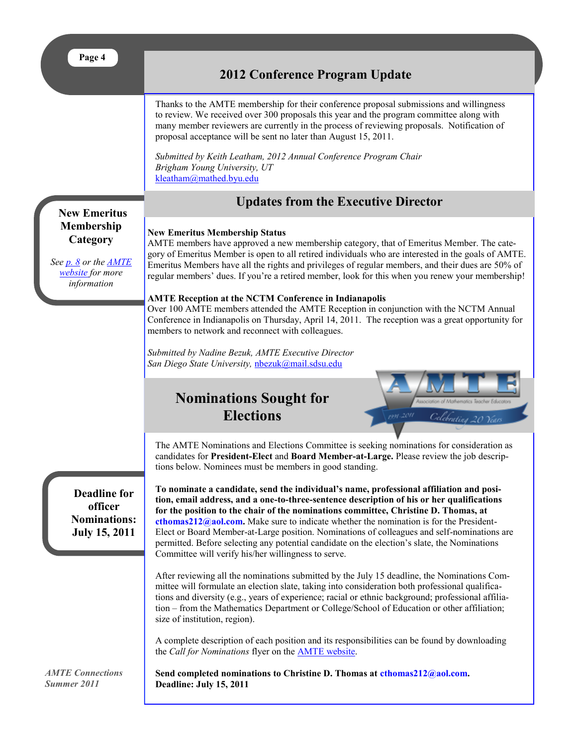<span id="page-3-0"></span>

| <br>х. |
|--------|
|--------|

## **2012 Conference Program Update**

Thanks to the AMTE membership for their conference proposal submissions and willingness to review. We received over 300 proposals this year and the program committee along with many member reviewers are currently in the process of reviewing proposals. Notification of proposal acceptance will be sent no later than August 15, 2011.

*Submitted by Keith Leatham, 2012 Annual Conference Program Chair Brigham Young University, UT* [kleatham@mathed.byu.edu](mailto:kleatham@mathed.byu.edu)

## **Updates from the Executive Director**

**New Emeritus Membership Category**

*See [p. 8](#page-7-0) or the [AMTE](http://www.amte.net/)  [website f](http://www.amte.net/)or more information* 

#### **New Emeritus Membership Status** AMTE members have approved a new membership category, that of Emeritus Member. The category of Emeritus Member is open to all retired individuals who are interested in the goals of AMTE. Emeritus Members have all the rights and privileges of regular members, and their dues are 50% of regular members' dues. If you're a retired member, look for this when you renew your membership!

#### **AMTE Reception at the NCTM Conference in Indianapolis**

Over 100 AMTE members attended the AMTE Reception in conjunction with the NCTM Annual Conference in Indianapolis on Thursday, April 14, 2011. The reception was a great opportunity for members to network and reconnect with colleagues.

*Submitted by Nadine Bezuk, AMTE Executive Director San Diego State University,* [nbezuk@mail.sdsu.edu](mailto:nbezuk@mail.sdsu.edu)

## **Nominations Sought for Elections**



The AMTE Nominations and Elections Committee is seeking nominations for consideration as candidates for **President-Elect** and **Board Member-at-Large.** Please review the job descriptions below. Nominees must be members in good standing.

**Deadline for officer Nominations: July 15, 2011**

**To nominate a candidate, send the individual's name, professional affiliation and position, email address, and a one-to-three-sentence description of his or her qualifications for the position to the chair of the nominations committee, Christine D. Thomas, at cthomas212@aol.com.** Make sure to indicate whether the nomination is for the President-Elect or Board Member-at-Large position. Nominations of colleagues and self-nominations are permitted. Before selecting any potential candidate on the election's slate, the Nominations Committee will verify his/her willingness to serve.

After reviewing all the nominations submitted by the July 15 deadline, the Nominations Committee will formulate an election slate, taking into consideration both professional qualifications and diversity (e.g., years of experience; racial or ethnic background; professional affiliation – from the Mathematics Department or College/School of Education or other affiliation; size of institution, region).

A complete description of each position and its responsibilities can be found by downloading the *Call for Nominations* flyer on the [AMTE website.](http://www.amte.net/)

Send completed nominations to Christine D. Thomas at cthomas212@aol.com. **Deadline: July 15, 2011**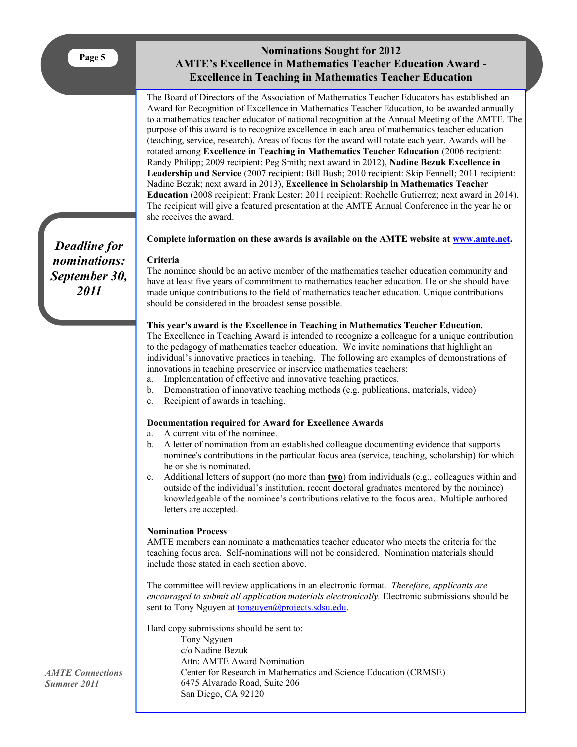## **Nominations Sought for 2012 AMTE's Excellence in Mathematics Teacher Education Award - Excellence in Teaching in Mathematics Teacher Education**

<span id="page-4-0"></span>The Board of Directors of the Association of Mathematics Teacher Educators has established an Award for Recognition of Excellence in Mathematics Teacher Education, to be awarded annually to a mathematics teacher educator of national recognition at the Annual Meeting of the AMTE. The purpose of this award is to recognize excellence in each area of mathematics teacher education (teaching, service, research). Areas of focus for the award will rotate each year. Awards will be rotated among **Excellence in Teaching in Mathematics Teacher Education** (2006 recipient: Randy Philipp; 2009 recipient: Peg Smith; next award in 2012), **Nadine Bezuk Excellence in Leadership and Service** (2007 recipient: Bill Bush; 2010 recipient: Skip Fennell; 2011 recipient: Nadine Bezuk; next award in 2013), **Excellence in Scholarship in Mathematics Teacher Education** (2008 recipient: Frank Lester; 2011 recipient: Rochelle Gutierrez; next award in 2014). The recipient will give a featured presentation at the AMTE Annual Conference in the year he or she receives the award.

**Complete information on these awards is available on the AMTE website at [www.amte.net.](http://www.amte.net/)**

#### **Criteria**

The nominee should be an active member of the mathematics teacher education community and have at least five years of commitment to mathematics teacher education. He or she should have made unique contributions to the field of mathematics teacher education. Unique contributions should be considered in the broadest sense possible.

#### **This year's award is the Excellence in Teaching in Mathematics Teacher Education.**

The Excellence in Teaching Award is intended to recognize a colleague for a unique contribution to the pedagogy of mathematics teacher education. We invite nominations that highlight an individual's innovative practices in teaching. The following are examples of demonstrations of innovations in teaching preservice or inservice mathematics teachers:

- a. Implementation of effective and innovative teaching practices.
- b. Demonstration of innovative teaching methods (e.g. publications, materials, video)
- c. Recipient of awards in teaching.

#### **Documentation required for Award for Excellence Awards**

- a. A current vita of the nominee.
- b. A letter of nomination from an established colleague documenting evidence that supports nominee's contributions in the particular focus area (service, teaching, scholarship) for which he or she is nominated.
- c. Additional letters of support (no more than **two**) from individuals (e.g., colleagues within and outside of the individual's institution, recent doctoral graduates mentored by the nominee) knowledgeable of the nominee's contributions relative to the focus area. Multiple authored letters are accepted.

#### **Nomination Process**

AMTE members can nominate a mathematics teacher educator who meets the criteria for the teaching focus area. Self-nominations will not be considered. Nomination materials should include those stated in each section above.

The committee will review applications in an electronic format. *Therefore, applicants are encouraged to submit all application materials electronically.* Electronic submissions should be sent to Tony Nguyen at [tonguyen@projects.sdsu.edu.](mailto:tonguyen@projects.sdsu.edu)

Hard copy submissions should be sent to:

Tony Ngyuen c/o Nadine Bezuk Attn: AMTE Award Nomination Center for Research in Mathematics and Science Education (CRMSE) 6475 Alvarado Road, Suite 206 San Diego, CA 92120

*Deadline for nominations: September 30, 2011*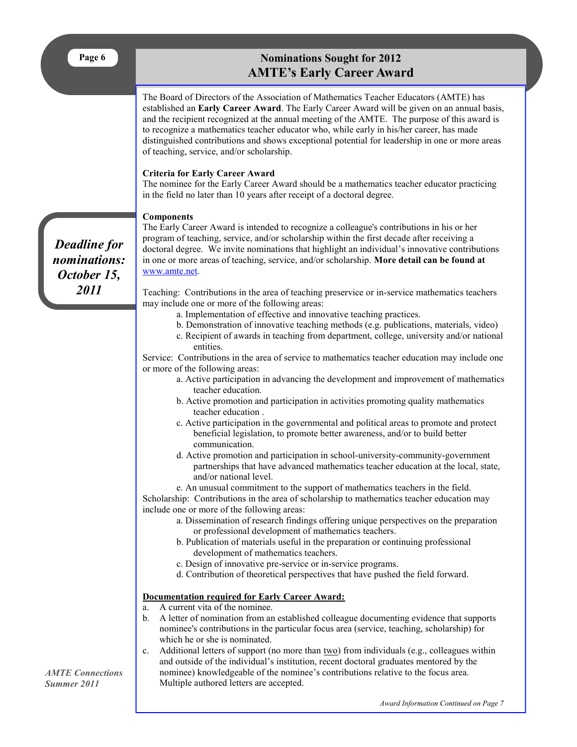## **Nominations Sought for 2012 AMTE's Early Career Award**

The Board of Directors of the Association of Mathematics Teacher Educators (AMTE) has established an **Early Career Award**. The Early Career Award will be given on an annual basis, and the recipient recognized at the annual meeting of the AMTE. The purpose of this award is to recognize a mathematics teacher educator who, while early in his/her career, has made distinguished contributions and shows exceptional potential for leadership in one or more areas of teaching, service, and/or scholarship.

#### **Criteria for Early Career Award**

The nominee for the Early Career Award should be a mathematics teacher educator practicing in the field no later than 10 years after receipt of a doctoral degree.

#### **Components**

The Early Career Award is intended to recognize a colleague's contributions in his or her program of teaching, service, and/or scholarship within the first decade after receiving a doctoral degree. We invite nominations that highlight an individual's innovative contributions in one or more areas of teaching, service, and/or scholarship. **More detail can be found at**  [www.amte.net.](http://www.amte.net/)

> Teaching: Contributions in the area of teaching preservice or in-service mathematics teachers may include one or more of the following areas:

- a. Implementation of effective and innovative teaching practices.
- b. Demonstration of innovative teaching methods (e.g. publications, materials, video)
- c. Recipient of awards in teaching from department, college, university and/or national entities.

Service: Contributions in the area of service to mathematics teacher education may include one or more of the following areas:

- a. Active participation in advancing the development and improvement of mathematics teacher education.
- b. Active promotion and participation in activities promoting quality mathematics teacher education .
- c. Active participation in the governmental and political areas to promote and protect beneficial legislation, to promote better awareness, and/or to build better communication.
- d. Active promotion and participation in school-university-community-government partnerships that have advanced mathematics teacher education at the local, state, and/or national level.

e. An unusual commitment to the support of mathematics teachers in the field. Scholarship: Contributions in the area of scholarship to mathematics teacher education may include one or more of the following areas:

- a. Dissemination of research findings offering unique perspectives on the preparation or professional development of mathematics teachers.
- b. Publication of materials useful in the preparation or continuing professional development of mathematics teachers.
- c. Design of innovative pre-service or in-service programs.
- d. Contribution of theoretical perspectives that have pushed the field forward.

#### **Documentation required for Early Career Award:**

- a. A current vita of the nominee.
- b. A letter of nomination from an established colleague documenting evidence that supports nominee's contributions in the particular focus area (service, teaching, scholarship) for which he or she is nominated.
- c. Additional letters of support (no more than  $\underline{two}$ ) from individuals (e.g., colleagues within and outside of the individual's institution, recent doctoral graduates mentored by the nominee) knowledgeable of the nominee's contributions relative to the focus area. Multiple authored letters are accepted.

*Deadline for nominations: October 15, 2011*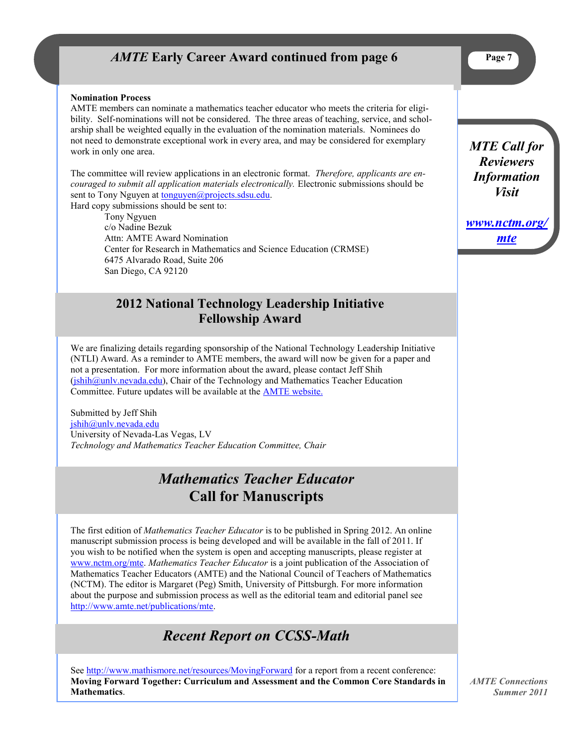## *AMTE* Early Career Award continued from page 6

#### <span id="page-6-0"></span>**Nomination Process**

AMTE members can nominate a mathematics teacher educator who meets the criteria for eligibility. Self-nominations will not be considered. The three areas of teaching, service, and scholarship shall be weighted equally in the evaluation of the nomination materials. Nominees do not need to demonstrate exceptional work in every area, and may be considered for exemplary work in only one area.

The committee will review applications in an electronic format. *Therefore, applicants are encouraged to submit all application materials electronically.* Electronic submissions should be sent to Tony Nguyen at [tonguyen@projects.sdsu.edu.](mailto:tonguyen@projects.sdsu.edu) Hard copy submissions should be sent to:

Tony Ngyuen c/o Nadine Bezuk Attn: AMTE Award Nomination Center for Research in Mathematics and Science Education (CRMSE) 6475 Alvarado Road, Suite 206 San Diego, CA 92120

## **2012 National Technology Leadership Initiative Fellowship Award**

We are finalizing details regarding sponsorship of the National Technology Leadership Initiative (NTLI) Award. As a reminder to AMTE members, the award will now be given for a paper and not a presentation. For more information about the award, please contact Jeff Shih  $(jishih@unly.newada.edu)$ , Chair of the Technology and Mathematics Teacher Education Committee. Future updates will be available at the [AMTE website.](http://www.amte.net)

Submitted by Jeff Shih [jshih@unlv.nevada.edu](mailto:jshih@unlv.nevada.edu) University of Nevada-Las Vegas, LV *Technology and Mathematics Teacher Education Committee, Chair*

# *Mathematics Teacher Educator* **Call for Manuscripts**

The first edition of *Mathematics Teacher Educator* is to be published in Spring 2012. An online manuscript submission process is being developed and will be available in the fall of 2011. If you wish to be notified when the system is open and accepting manuscripts, please register at [www.nctm.org/mte.](http://nctm.org/mte) *Mathematics Teacher Educator* is a joint publication of the Association of Mathematics Teacher Educators (AMTE) and the National Council of Teachers of Mathematics (NCTM). The editor is Margaret (Peg) Smith, University of Pittsburgh. For more information about the purpose and submission process as well as the editorial team and editorial panel see [http://www.amte.net/publications/mte.](http://www.amte.net/publications/mte)

# *Recent Report on CCSS-Math*

See <http://www.mathismore.net/resources/MovingForward> for a report from a recent conference: **Moving Forward Together: Curriculum and Assessment and the Common Core Standards in Mathematics**.

*AMTE Connections Summer 2011*

*MTE Call for Reviewers Information Visit* 

*[www.nctm.org/](http://www.nctm.org/mte) [mte](http://www.nctm.org/mte)*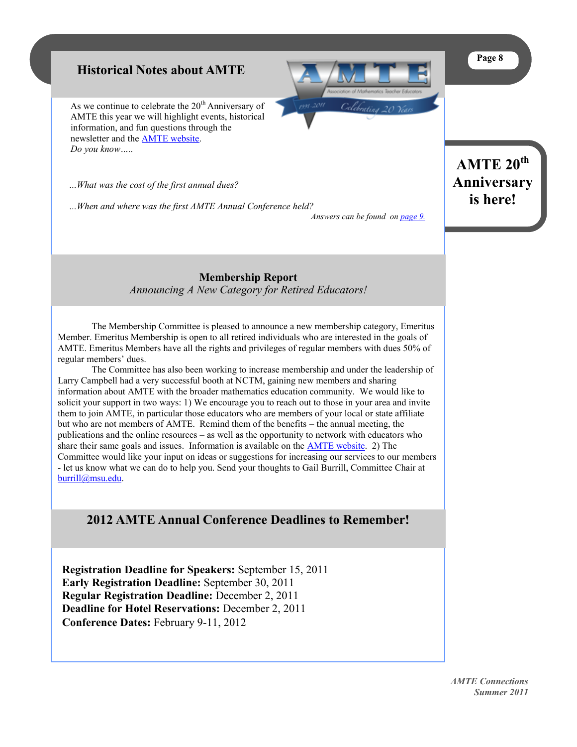#### **Page 8**

## <span id="page-7-0"></span>**Historical Notes about AMTE**

As we continue to celebrate the  $20<sup>th</sup>$  Anniversary of AMTE this year we will highlight events, historical information, and fun questions through the newsletter and the [AMTE website.](http://www.amte.net) *Do you know…..*

 *...What was the cost of the first annual dues?*

 *...When and where was the first AMTE Annual Conference held? Answers can be found on [page 9.](#page-8-0)*



**AMTE 20th Anniversary is here!**

**Membership Report** *Announcing A New Category for Retired Educators!*

The Membership Committee is pleased to announce a new membership category, Emeritus Member. Emeritus Membership is open to all retired individuals who are interested in the goals of AMTE. Emeritus Members have all the rights and privileges of regular members with dues 50% of regular members' dues.

The Committee has also been working to increase membership and under the leadership of Larry Campbell had a very successful booth at NCTM, gaining new members and sharing information about AMTE with the broader mathematics education community. We would like to solicit your support in two ways: 1) We encourage you to reach out to those in your area and invite them to join AMTE, in particular those educators who are members of your local or state affiliate but who are not members of AMTE. Remind them of the benefits – the annual meeting, the publications and the online resources – as well as the opportunity to network with educators who share their same goals and issues. Information is available on the [AMTE website.](http://www.amte.net/) 2) The Committee would like your input on ideas or suggestions for increasing our services to our members - let us know what we can do to help you. Send your thoughts to Gail Burrill, Committee Chair at [burrill@msu.edu.](mailto:burrill@msu.edu)

## **2012 AMTE Annual Conference Deadlines to Remember!**

**Registration Deadline for Speakers:** September 15, 2011 **Early Registration Deadline:** September 30, 2011 **Regular Registration Deadline:** December 2, 2011 **Deadline for Hotel Reservations:** December 2, 2011 **Conference Dates:** February 9-11, 2012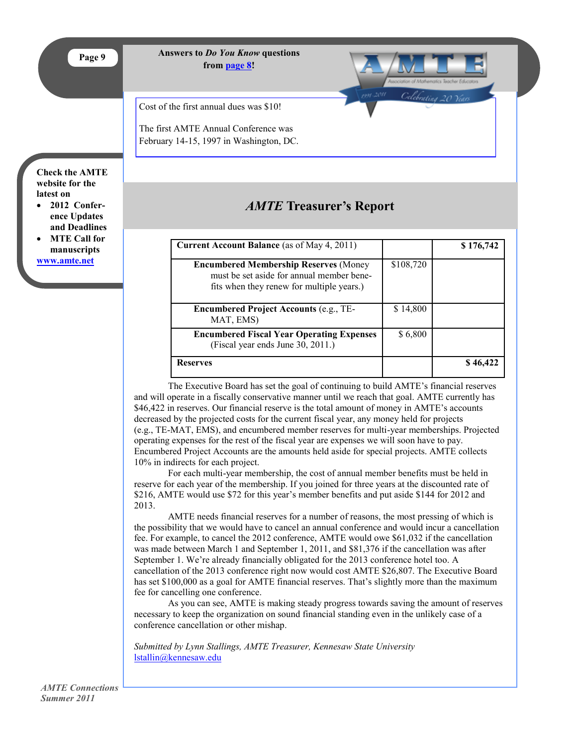<span id="page-8-0"></span>

**Answers to** *Do You Know* **questions from [page 8!](#page-7-0)**

Cost of the first annual dues was \$10!

The first AMTE Annual Conference was February 14-15, 1997 in Washington, DC.

# *AMTE* **Treasurer's Report**

Celebratins 20

| <b>Current Account Balance</b> (as of May 4, 2011)                                                                                     |           | \$176,742 |
|----------------------------------------------------------------------------------------------------------------------------------------|-----------|-----------|
| <b>Encumbered Membership Reserves (Money</b><br>must be set aside for annual member bene-<br>fits when they renew for multiple years.) | \$108,720 |           |
| <b>Encumbered Project Accounts (e.g., TE-</b><br>MAT, EMS)                                                                             | \$14,800  |           |
| <b>Encumbered Fiscal Year Operating Expenses</b><br>(Fiscal year ends June 30, 2011.)                                                  | \$6,800   |           |
| <b>Reserves</b>                                                                                                                        |           | \$46.422  |

The Executive Board has set the goal of continuing to build AMTE's financial reserves and will operate in a fiscally conservative manner until we reach that goal. AMTE currently has \$46,422 in reserves. Our financial reserve is the total amount of money in AMTE's accounts decreased by the projected costs for the current fiscal year, any money held for projects (e.g., TE-MAT, EMS), and encumbered member reserves for multi-year memberships. Projected operating expenses for the rest of the fiscal year are expenses we will soon have to pay. Encumbered Project Accounts are the amounts held aside for special projects. AMTE collects 10% in indirects for each project.

For each multi-year membership, the cost of annual member benefits must be held in reserve for each year of the membership. If you joined for three years at the discounted rate of \$216, AMTE would use \$72 for this year's member benefits and put aside \$144 for 2012 and 2013.

AMTE needs financial reserves for a number of reasons, the most pressing of which is the possibility that we would have to cancel an annual conference and would incur a cancellation fee. For example, to cancel the 2012 conference, AMTE would owe \$61,032 if the cancellation was made between March 1 and September 1, 2011, and \$81,376 if the cancellation was after September 1. We're already financially obligated for the 2013 conference hotel too. A cancellation of the 2013 conference right now would cost AMTE \$26,807. The Executive Board has set \$100,000 as a goal for AMTE financial reserves. That's slightly more than the maximum fee for cancelling one conference.

As you can see, AMTE is making steady progress towards saving the amount of reserves necessary to keep the organization on sound financial standing even in the unlikely case of a conference cancellation or other mishap.

*Submitted by Lynn Stallings, AMTE Treasurer, Kennesaw State University* [lstallin@kennesaw.edu](mailto:lstallin@kennesaw.edu)

#### **Check the AMTE website for the latest on**

- **2012 Conference Updates and Deadlines**
- **MTE Call for manuscripts [www.amte.net](http://www.amte.net)**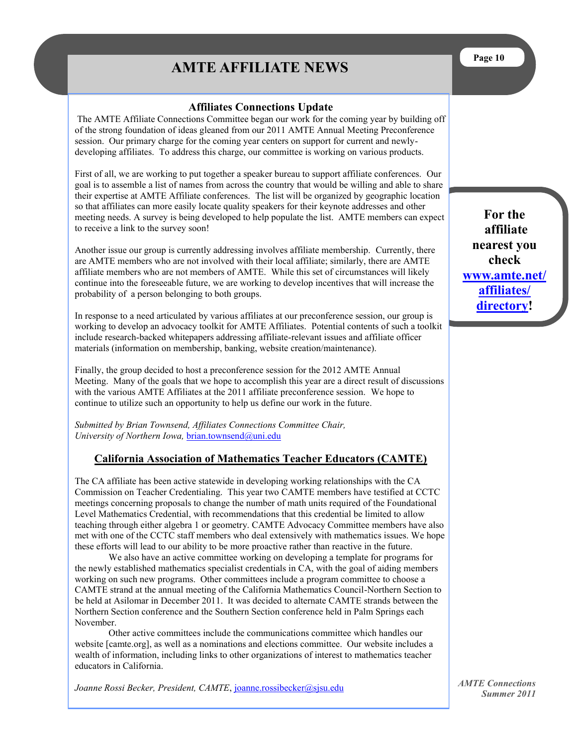# **AMTE AFFILIATE NEWS**

#### **Affiliates Connections Update**

<span id="page-9-0"></span>The AMTE Affiliate Connections Committee began our work for the coming year by building off of the strong foundation of ideas gleaned from our 2011 AMTE Annual Meeting Preconference session. Our primary charge for the coming year centers on support for current and newlydeveloping affiliates. To address this charge, our committee is working on various products.

First of all, we are working to put together a speaker bureau to support affiliate conferences. Our goal is to assemble a list of names from across the country that would be willing and able to share their expertise at AMTE Affiliate conferences. The list will be organized by geographic location so that affiliates can more easily locate quality speakers for their keynote addresses and other meeting needs. A survey is being developed to help populate the list. AMTE members can expect to receive a link to the survey soon!

Another issue our group is currently addressing involves affiliate membership. Currently, there are AMTE members who are not involved with their local affiliate; similarly, there are AMTE affiliate members who are not members of AMTE. While this set of circumstances will likely continue into the foreseeable future, we are working to develop incentives that will increase the probability of a person belonging to both groups.

In response to a need articulated by various affiliates at our preconference session, our group is working to develop an advocacy toolkit for AMTE Affiliates. Potential contents of such a toolkit include research-backed whitepapers addressing affiliate-relevant issues and affiliate officer materials (information on membership, banking, website creation/maintenance).

Finally, the group decided to host a preconference session for the 2012 AMTE Annual Meeting. Many of the goals that we hope to accomplish this year are a direct result of discussions with the various AMTE Affiliates at the 2011 affiliate preconference session. We hope to continue to utilize such an opportunity to help us define our work in the future.

*Submitted by Brian Townsend, Affiliates Connections Committee Chair, University of Northern Iowa, [brian.townsend@uni.edu](https://mail.baylor.edu/owa/redir.aspx?C=3338c1c0700f46a191fce105b66fd75b&URL=mailto%3abrian.townsend%40uni.edu)* 

## **California Association of Mathematics Teacher Educators (CAMTE)**

The CA affiliate has been active statewide in developing working relationships with the CA Commission on Teacher Credentialing. This year two CAMTE members have testified at CCTC meetings concerning proposals to change the number of math units required of the Foundational Level Mathematics Credential, with recommendations that this credential be limited to allow teaching through either algebra 1 or geometry. CAMTE Advocacy Committee members have also met with one of the CCTC staff members who deal extensively with mathematics issues. We hope these efforts will lead to our ability to be more proactive rather than reactive in the future.

We also have an active committee working on developing a template for programs for the newly established mathematics specialist credentials in CA, with the goal of aiding members working on such new programs. Other committees include a program committee to choose a CAMTE strand at the annual meeting of the California Mathematics Council-Northern Section to be held at Asilomar in December 2011. It was decided to alternate CAMTE strands between the Northern Section conference and the Southern Section conference held in Palm Springs each November.

Other active committees include the communications committee which handles our website [camte.org], as well as a nominations and elections committee. Our website includes a wealth of information, including links to other organizations of interest to mathematics teacher educators in California.

Joanne Rossi Becker, President, CAMTE, [jo](mailto:joanne.rossibecker@sjsu.edu)[anne.rossibecker@sjsu.edu](mailto:joanne.rossibecken@sjsu.edu)

**For the affiliate nearest you check [www.amte.net/](http://www.amte.net/affiliates/directory) [affiliates/](http://www.amte.net/affiliates/directory) [directory!](http://www.amte.net/affiliates/directory)**